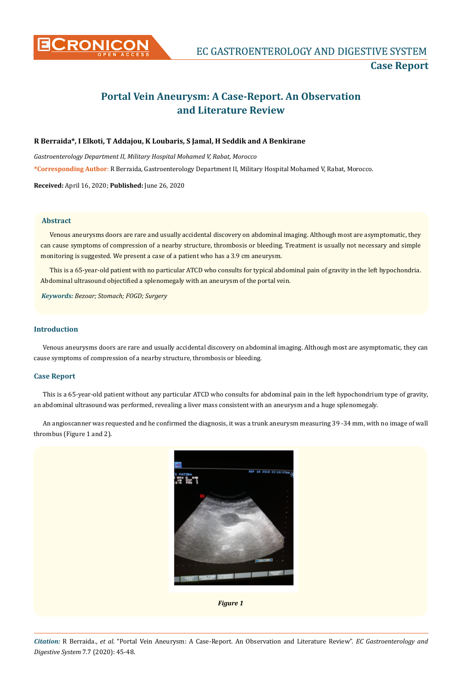

# **Portal Vein Aneurysm: A Case-Report. An Observation and Literature Review**

# **R Berraida\*, I Elkoti, T Addajou, K Loubaris, S Jamal, H Seddik and A Benkirane**

*Gastroenterology Department II, Military Hospital Mohamed V, Rabat, Morocco*

**\*Corresponding Author**: R Berraida, Gastroenterology Department II, Military Hospital Mohamed V, Rabat, Morocco.

**Received:** April 16, 2020; **Published:** June 26, 2020

### **Abstract**

Venous aneurysms doors are rare and usually accidental discovery on abdominal imaging. Although most are asymptomatic, they can cause symptoms of compression of a nearby structure, thrombosis or bleeding. Treatment is usually not necessary and simple monitoring is suggested. We present a case of a patient who has a 3.9 cm aneurysm.

This is a 65-year-old patient with no particular ATCD who consults for typical abdominal pain of gravity in the left hypochondria. Abdominal ultrasound objectified a splenomegaly with an aneurysm of the portal vein.

*Keywords: Bezoar; Stomach; FOGD; Surgery*

# **Introduction**

Venous aneurysms doors are rare and usually accidental discovery on abdominal imaging. Although most are asymptomatic, they can cause symptoms of compression of a nearby structure, thrombosis or bleeding.

## **Case Report**

This is a 65-year-old patient without any particular ATCD who consults for abdominal pain in the left hypochondrium type of gravity, an abdominal ultrasound was performed, revealing a liver mass consistent with an aneurysm and a huge splenomegaly.

An angioscanner was requested and he confirmed the diagnosis, it was a trunk aneurysm measuring 39 -34 mm, with no image of wall thrombus (Figure 1 and 2).



*Figure 1*

*Citation:* R Berraida., *et al*. "Portal Vein Aneurysm: A Case-Report. An Observation and Literature Review". *EC Gastroenterology and Digestive System* 7.7 (2020): 45-48.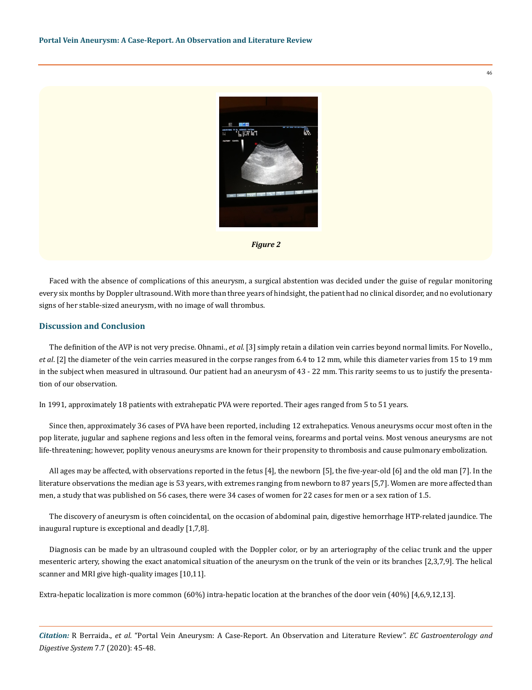



Faced with the absence of complications of this aneurysm, a surgical abstention was decided under the guise of regular monitoring every six months by Doppler ultrasound. With more than three years of hindsight, the patient had no clinical disorder, and no evolutionary signs of her stable-sized aneurysm, with no image of wall thrombus.

#### **Discussion and Conclusion**

The definition of the AVP is not very precise. Ohnami., *et al*. [3] simply retain a dilation vein carries beyond normal limits. For Novello., *et al*. [2] the diameter of the vein carries measured in the corpse ranges from 6.4 to 12 mm, while this diameter varies from 15 to 19 mm in the subject when measured in ultrasound. Our patient had an aneurysm of 43 - 22 mm. This rarity seems to us to justify the presentation of our observation.

In 1991, approximately 18 patients with extrahepatic PVA were reported. Their ages ranged from 5 to 51 years.

Since then, approximately 36 cases of PVA have been reported, including 12 extrahepatics. Venous aneurysms occur most often in the pop literate, jugular and saphene regions and less often in the femoral veins, forearms and portal veins. Most venous aneurysms are not life-threatening; however, poplity venous aneurysms are known for their propensity to thrombosis and cause pulmonary embolization.

All ages may be affected, with observations reported in the fetus [4], the newborn [5], the five-year-old [6] and the old man [7]. In the literature observations the median age is 53 years, with extremes ranging from newborn to 87 years [5,7]. Women are more affected than men, a study that was published on 56 cases, there were 34 cases of women for 22 cases for men or a sex ration of 1.5.

The discovery of aneurysm is often coincidental, on the occasion of abdominal pain, digestive hemorrhage HTP-related jaundice. The inaugural rupture is exceptional and deadly [1,7,8].

Diagnosis can be made by an ultrasound coupled with the Doppler color, or by an arteriography of the celiac trunk and the upper mesenteric artery, showing the exact anatomical situation of the aneurysm on the trunk of the vein or its branches [2,3,7,9]. The helical scanner and MRI give high-quality images [10,11].

Extra-hepatic localization is more common (60%) intra-hepatic location at the branches of the door vein (40%) [4,6,9,12,13].

*Citation:* R Berraida., *et al*. "Portal Vein Aneurysm: A Case-Report. An Observation and Literature Review". *EC Gastroenterology and Digestive System* 7.7 (2020): 45-48.

46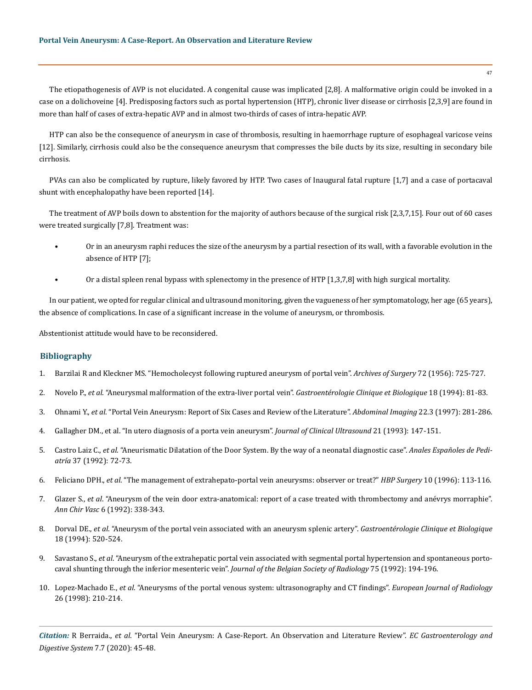The etiopathogenesis of AVP is not elucidated. A congenital cause was implicated [2,8]. A malformative origin could be invoked in a case on a dolichoveine [4]. Predisposing factors such as portal hypertension (HTP), chronic liver disease or cirrhosis [2,3,9] are found in more than half of cases of extra-hepatic AVP and in almost two-thirds of cases of intra-hepatic AVP.

HTP can also be the consequence of aneurysm in case of thrombosis, resulting in haemorrhage rupture of esophageal varicose veins [12]. Similarly, cirrhosis could also be the consequence aneurysm that compresses the bile ducts by its size, resulting in secondary bile cirrhosis.

PVAs can also be complicated by rupture, likely favored by HTP. Two cases of Inaugural fatal rupture [1,7] and a case of portacaval shunt with encephalopathy have been reported [14].

The treatment of AVP boils down to abstention for the majority of authors because of the surgical risk [2,3,7,15]. Four out of 60 cases were treated surgically [7,8]. Treatment was:

- Or in an aneurysm raphi reduces the size of the aneurysm by a partial resection of its wall, with a favorable evolution in the absence of HTP [7];
- Or a distal spleen renal bypass with splenectomy in the presence of HTP [1,3,7,8] with high surgical mortality.

In our patient, we opted for regular clinical and ultrasound monitoring, given the vagueness of her symptomatology, her age (65 years), the absence of complications. In case of a significant increase in the volume of aneurysm, or thrombosis.

Abstentionist attitude would have to be reconsidered.

#### **Bibliography**

- 1. [Barzilai R and Kleckner MS. "Hemocholecyst following ruptured aneurysm of portal vein".](https://pubmed.ncbi.nlm.nih.gov/13301133/) *Archives of Surgery* 72 (1956): 725-727.
- 2. Novelo P., *et al*. "Aneurysmal malformation of the extra-liver portal vein". *Gastroentérologie Clinique et Biologique* 18 (1994): 81-83.
- 3. Ohnami Y., *et al*[. "Portal Vein Aneurysm: Report of Six Cases and Review of the Literature".](https://pubmed.ncbi.nlm.nih.gov/9107651/) *Abdominal Imaging* 22.3 (1997): 281-286.
- 4. [Gallagher DM., et al. "In utero diagnosis of a porta vein aneurysm".](https://pubmed.ncbi.nlm.nih.gov/8381137/) *Journal of Clinical Ultrasound* 21 (1993): 147-151.
- 5. Castro Laiz C., *et al*. "Aneurismatic Dilatation of the Door System. By the way of a neonatal diagnostic case". *Anales Españoles de Pediatría* 37 (1992): 72-73.
- 6. Feliciano DPH., *et al*[. "The management of extrahepato-portal vein aneurysms: observer or treat?"](https://www.researchgate.net/publication/14033765_The_Management_of_Extrahepatic_Portal_Vein_Aneurysms_Observe_or_Treat) *HBP Surgery* 10 (1996): 113-116.
- 7. Glazer S., *et al*. "Aneurysm of the vein door extra-anatomical: report of a case treated with thrombectomy and anévrys morraphie". *Ann Chir Vasc* 6 (1992): 338-343.
- 8. Dorval DE., *et al*[. "Aneurysm of the portal vein associated with an aneurysm splenic artery".](https://pubmed.ncbi.nlm.nih.gov/7813868/) *Gastroentérologie Clinique et Biologique*  [18 \(1994\): 520-524.](https://pubmed.ncbi.nlm.nih.gov/7813868/)
- 9. Savastano S., *et al*[. "Aneurysm of the extrahepatic portal vein associated with segmental portal hypertension and spontaneous porto](https://pubmed.ncbi.nlm.nih.gov/1400150/)[caval shunting through the inferior mesenteric vein".](https://pubmed.ncbi.nlm.nih.gov/1400150/) *Journal of the Belgian Society of Radiology* 75 (1992): 194-196.
- 10. Lopez-Machado E., *et al*[. "Aneurysms of the portal venous system: ultrasonography and CT findings".](https://pubmed.ncbi.nlm.nih.gov/9518231/) *European Journal of Radiology*  [26 \(1998\): 210-214.](https://pubmed.ncbi.nlm.nih.gov/9518231/)

*Citation:* R Berraida., *et al*. "Portal Vein Aneurysm: A Case-Report. An Observation and Literature Review". *EC Gastroenterology and Digestive System* 7.7 (2020): 45-48.

47